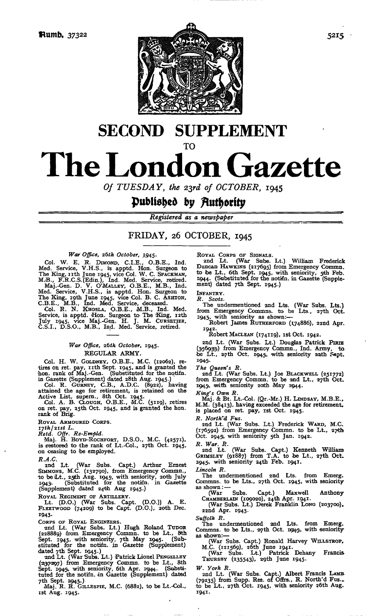

# **SECOND SUPPLEMENT** TO **The London Gazette**

*Of TUESDAY, the 2yd of OCTOBER,* 1945

## published *by*

*Registered as a newspaper*

## FRIDAY, 26 OCTOBER, 1945

*Wear Office, z6th October,* 1945.

Col. W. E. R. DIMOND, C.I.E., O.B.E., Ind.<br>Med. Service, V.H.S., is apptd. Hon. Surgeon to<br>The King, rith June 1945, vice Col. W. C. SPACKMAN,<br>M.B., F.R.C.S.(Edin.), Ind. Med. Service, retired.<br>Maj.-Gen. D. V. O'MALLEY, O. Med. Service, V.H.S., is apptd. Hon. Surgeon to The King, 19th June 1945, vice Col. B. C. ASHTON,<br>C.B.E., M.B., Ind. Med. Service, deceased.<br>Col. R. N. KHOSLA, O.B.E., M.B., Ind. Med. Service, is apptd. Hon. Surgeon to The King, 12th July 1945, vice Maj.-Gen. H. J. M. CURSETJEE, C.S.I., D.S.O., M.B., Ind. Med. Service, retired.

#### *War Office, 26th October,* 1945. REGULAR ARMY.

Col. H. W. GOLDNEY, O.B.E., M.C. (12062), re-tires on ret. pay, nth Sept. 1945, and is granted the hon. rank of Maj.-Gen. (Substituted for the notifn. in Gazette (Supplement) dated 28th Aug. 1945.) Col. R. GURNEY, C.B., A.D.C. (8922), having

attained the age for retirement, is retained on the Active List, supern., 8th Oct. 1945. .Col. A. B. CLOUGH, O.B.E., M.C. (5119), retires

on ret. pay, 25th Oct. 1945, and is granted the hon. rank of Brig.

ROYAL ARMOURED CORPS.

*ijth/zist L. Retd. Offr. Re-Empld.* Maj. H. BOYD-ROCHFORT, D.S.O., M.C. (42571), is (restored to the rank of Lt.-Col., 2yth Oct. 1945, on ceasing to 'be employed.

*R.A.C.*

2nd Lt. (War Subs. Capt.) Arthur Ernest SIMMONS, M.C. (132790), from Emergency Commn., to be Lt., 25th Aug. 1945, with seniority, 20th July 1943. (Substituted for the notifn. in Gazette (Supplement) dated 24th Aug 1945.)

ROYAL REGIMENT OF ARTILLERY. Lt. (D.O.) (War Subs. Capt. (D.O.)) A. E. FLEETWOOD (74209) to be Capt. (D.O.), 2Oth Dec. 1943-

Corps or Royal Engineers.<br>• 2nd Lt. (War Subs. Lt.) Hugh Roland Tupor<br>(228889) from Emergency Commn. to be Lt., 8th Sept. 1945, with seniority, 7th May 1945. (Sub-stituted for the notifn. in Gazette (Supplement) dated 7th Sept. 1945.)<br>
2nd Lt. (War Subs. Lt.) Patrick Lionel PENGELLEY

(.1 2i37'297) from Emergency Commn. to be Lt., &th Sept. 19451, with seniority, 6th Apr. 19414. (Substi-tuted for the notifn. dn Gazette (Supplement) dated 7th Sept. 1945..) Maj. R. R. GILLESPIE, M.C. (6882), to be Lt.-Col.,

ist Aug. 1945.

Royal CoRPS OF SIGNALS.<br>
2nd Lt. (War Subs. Lt.) William Frederick<br>
Duncan Hawkuws (217695) from Emergency Commin.<br>
to be Lt., 6th Sept. 1945, with seniority, 5th Feb.<br>
1944. (Substituted for the notifn. in Gazette (Supple

INFANTRY. *R. Scots.*

The undermentioned 2nd Lts. (War Subs. Lts.) from Emergency Commns. to be Lts., 27th Oct. 1945, with seniority as shown:—

Robert James RUTHERFORD (174886), 22nd Apr. 1942. Robert MACLEAN (174119), ist Oct. 1942.

2nd Lt. (War Subs. Lt.) Douglas Patrick PIRIE<br>(356933) from Emergency Commn., Ind. Army, to<br>be Lt., 27th Oct. 1945, with seniority nath Sept. 1945.

*The Queen's R.* 2nd Lt. (War Subs. Lt.) Joe BLACKWELL (251772) from Emergency Commn. to be 2nd Lt., 27th Oct. 19451, wdth seniority 2Oth May 1944.

*King's Own R.* Maj. & Bt. Lt.-Col. (Qr.-Mr.) H. LINDSAY, M.B.E., M.M. (38413), having exceeded the age for retirement, is placed on ret. pay, ist Oct. 1945.

*R. North"d Fus.*

2nd Lt. (War Subs. Lt.) Frederick WARD, M.C.<br>(176592) from Emergency Commn. to be Lt., 27th<br>Oct. 1945, with seniority 5th Jan. 1942.

*R. War. R.* 2nd Lt. (War Subs. Capt.) Kenneth William GRIMSLEY (91887) from T.A. to be Lt., 27th Oct. 1945, with seniority 24th Feb. 1941.

*Lincoln R,*

The undermentioned 2nd Lts. from Emerg. Commns. to be Lts., 27th Oct. 1945, with seniority as shown: —

(War Subs. Capt.) Maxwell Anthony CHAMBERLAIN (109020), 24th Apr. 1941. (War Subs. Lt.) Derek Franklin LONG (203700),.

22nd Apr. 1943.

*Suffolk R.*

The undermentioned and Lts. from Emerg.<br>Commns. to be Lts., 27th Oct. 1945, with seniority

as shown:— (War Subs. Capt.) Ronald Harvey WILLSTROP, M.C. (121569), 26th June 1941. (War Subs. Lt.) Patrick Dehany Francis-

THURSBY  $(235543)$ , 29th June 1945.

*W. York R.*

2nd Lt. (War Subs. Capt.) Albert Francis LAMB. (79235) from Supp. Res. of Offrs., R. North'd Fus.,. to be Lt., 27th Oct. 1945, with seniority 26th Aug. 1941.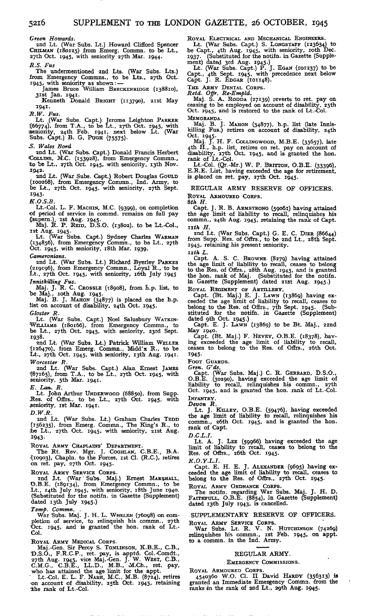*Green Howards.*

2nd Lt. (War Subs. Lt.) Howard Clifford Spencer CHILMAN (180125) from Emerg. Commn. to be Lt., 27th Oct. 1945, with seniority 27th Max. 1944. *R.S. Fus*

The undermentioned 2nd Lts. (War Subs. Lts.) from Emergency Commns., to be Lts., 27th Oct.<br>
1945, with seniority as shown: —<br>
James Bruce William BRECKENRIDGE (138810),

3ist Jan. 1941. Kenneth Donald BRIGHT (113790), 2ist May

1941.

*R.W. Fus.*

Lt. (War Subs. Capt.) Jerome Leighton PARKER (66774), from T.A., to be Lt., 27th Oct. 1945, with seniority, 24th Feb. 1941, next below Lt. (War Subs. Capt.) B. G. PuGH (75575).

-S. *Wales Bord*

2nd Lt. (War Subs. Capt.) Donald Francis Herbert COLLINS, M.C. (153928), from Emergency Commn., to be Lt., 27th Oct. 1945, with seniority, 13th Nov. 1942.

and Lt. (War Subs. Capt.) Robert Douglas GOULD (100268), from Emergency Commn., Ind. Army, to be Lt., 27th Oct. 1945. with seniority, 27th Sept. 1943-

*K.O.S.B.*

Lt.-Col. L. F. MACHIN, M.C. (9399), on completion of period of service in commd. remains on full pay Jsupern.), ist Aug. 1945. Maj. R. P. REID, D.S.O. (13802), to be Lt.-Col.,

ist Aug. 1945. Lt. (War Subs. Capt.) Sydney Charles WARMAN (134856), from Emergency Commn., to be Lt., 27th Oct. 1945, with seniority, i8th Mar. 1939. *Cameronians.*

2nd Lt. (War Subs. Lt.) Richard Byerley PARKES (219196), from Emergency Commn., Loyal R., to be Lt., 27th Oct. 1945, with seniority, i6th July 1945

*Inniskilling Fus.*<br>Maj. J. R. C. CrossLE (18908), from h.p. list, to be Maj., roth Aug. 1945.

Maj. B. J. MAHON (34877) is placed on the h.p.<br>list on account of disability, 24th Oct. 1945.

*Gloster R.*

Lt. (War Subs. Capt.) Noel Salusbury WATKIN-WILLIAMS (180166), from Emergency Commn., to be Lt., 27th Oct. 1945, with seniority, 23rd Sept. 1938.

2nd Lt. (War Subs. Lt.) Patrick William WELLER<br>(126470), from Emerg. Commn., Midd'x R., to be<br>Lt., 27th Oct. 1945, with seniority, 13th Aug. 1941. *Worcester R.*

2nd Lt. (War Subs. Capt.) Alan Ernest JAMES '(87165), from T.A., to be Lt., 27th Oct. 1945, with seniority, 5th Mar. 1941.

*E. Lam. R.*

Lt. John Arthur UNDERWOOD (68850), from Supp. Res. of Offrs., to be Lt., 27th Oct. 1945, with seniority, ist Mar. 1941.

*D.W.R.*

2nd Lt. (War Subs. Lt.) Graham Charles TEDD (156235), from Emerg. Commn., The King's R., to :be Lt., 27th Oct. 1945, with seniority, 2ist Aug. 1943-

ROYAL ARMY CHAPLAINS' DEPARTMENT. The Rt. Rev. Mgr. J. COGHLAN, C.B.E., B.A. •(10903), Chapln. to the Forces, ist Cl. (R,C.), retires on ret. pay, 27th Oct. 1945.

ROYAL ARMY SERVICE CORPS.<br>2nd Lt. (War Subs. Maj.) Ernest MARSHALL,<br>0.B.E. (189134), from Emergency Commn., to be<br>1.t., 14th July 1945, with seniority, 18th June 1940.<br>(Substituted for the notifn. in Gazette (Supplement) dated i3th July 1945.)

*Temp. Commn. .*

War Subs. Maj. J. H. L. WHELEN (76098) on com-<br>pletion of service, to relinquish his commn., 27th 'Oct. 1945, and is granted the hon. rank of Lt.- Col.

ROYAL ARMY MEDICAL CORPS.<br>
Maj.-Gen. Sir Percy S. TOMLINSON, K.B.E., C.B.,<br>
D.S.O., F.R.C.P., ret. pay, is apptd. Col.-Comdt.,<br>
27th Aug. 1945, vice Maj.-Gen. J. W. WEST, C.B.,<br>
C.M.G., C.B.E., LL.D., M.B., M.Ch., ret. pay

the rank of Lt.-Col.

ROYAL ELECTRICAL AND MECHANICAL ENGINEERS.<br>Lt. (War Subs. Capt.) S. LONGSTAFF (123634) to<br>be Capt., 4th Aug. 1945, with seniority, 1oth Dec.<br>1937. (Substituted for the notifn. in Gazette (Supplement) dated 3rd Aug. 1945.) Lt. (War Subs. Capt.) P. J. EGAN (roi23?) to be

Capt., 4th Sept. 1945, with precedence next below<br>Capt. J. R. EDGAR (101148).

THE ARMY DENTAL CORPS. *Retd. Offr. Re-Empld.* Maj. S. A. RODDA (27139) reverts to ret. pay on ceasing to be employed on account of disability, 25th Oct. 1945, and is restored to the rank of Lt.-Col. MEMORANDA.

Maj. B. J. MAHON (34877), h.p. list (late Innis-killing Fus.) retires on account of disability, 24th

Oct. 1945.<br>
Maj. J. H. F. CoLLINGWOOD, M.B.E. (35657), late<br>
4th H., h.p. list, retires on ret. pay on account of<br>
disability, 27th Oct. 1945, and is granted the hon.<br>
rank of Lt.-Col.<br>
Lt.-Col. (Qr.-Mr.) W. P. BRITTON, O.

FR.E. List, having exceeded the age for retirement,<br>E.R.E. List, having exceeded the age for retirement, is placed on ret. pay, 27th Oct. 1945.

REGULAR ARMY RESERVE OF OFFICERS. ROYAL ARMOURED CORPS.

*8th H.*

Capt. J. R. B. ARMSTRONG (59061) having attained the age limit of liability to recall, relinquishes his commn., 24th Aug. 1945, retaining the rank of Capt. *nth H.*

2nd Lt. (War Subs. Capt.) G. E. C. DIER (56644) from Supp. Res. of Offrs., to be 2nd Lt., 28th Sept. 1945, retaining his present seniority.

*I2th L.*

Capt. A. S. C. BROWNE (8279) having attained<br>the age limit of liability to recall, ceases to belong<br>to the Res. of Offrs., 28th Aug. 1945, and is granted<br>the hon. rank of Maj. (Substituted for the notifn.<br>in Gazette (Suppl

ROYAL REGIMENT OF ARTILLERY.

Capt. (Bt. Maj.) E. J. LAWN (13869) having exceeded the age limit of liability to recall, ceases to belong to the Res. of Offrs., 7th Sept. 1945. (Sub-stituted for the notifin. in Gazette (Supplement) dated oth Oct. 1945.)

May 1940. Capt. (Bt. Maj.) F. HEVEY, O.B.E. (18378), hav-

ing exceeded the age limit of liability to recall, ceases to belong to the Res. of Offrs., 26th Oct. 1945-

Foor Guarps.<br>*Gren. G'ds.*<br>Capt. (War Subs. Maj.) C. R. GERRARD, D.S.O.,<br>O.B.E. (30290), having exceeded the age limit of liability to recall, relinquishes his commn., 27th Oct. 1945, and is granted the hon. rank of Lt.-Col. INFANTRY.

*Devon R.* Lt. J. KILLEY, O.B.E. (59476), having exceeded the age limit of liability to recall, relinquishes his commn., 26th Oct. 1945, and is granted the hon. rank of Capt.

*B.C.L.I.*

Lt. A. J. LEE (59966) having exceeded the age limit of liability to recall, ceases to belong to the Res. of Offrs., 26th Oct. 1945.

*K.O.Y.L.I.*

Capt. E. H. E. J. ALEXANDER (9695) having exceeded the age limit of liability to recall, ceases to belong to the Res. of Offirs., 27th Oct. 1945.

ROYAL ARMY ORDNANCE CORPS. The notifn. regarding War Subs. Maj. J. H. D. FAITHFULL, O.B.E. (8854), in Gazette (Supplement) dated i3th July 1943, is cancelled.

SUPPLEMENTARY RESERVE OF OFFICERS.

ROYAL ARMY SERVICE CORPS. War Subs. Lt. R. V. N. HUTCHINSON (74269) relinquishes his commn., ist Feb. 1945, on appt. to a commn. in the Ind. Army.

#### REGULAR ARMY.

EMERGENCY COMMISSIONS.

ROYAL ARMOURED CORPS.<br>4540360 W.O. Cl. II David HARDY (356313) is<br>granted an Immediate Emergency Commn. from the ranks in the rank of 2nd Lt., 29th Aug. 1945.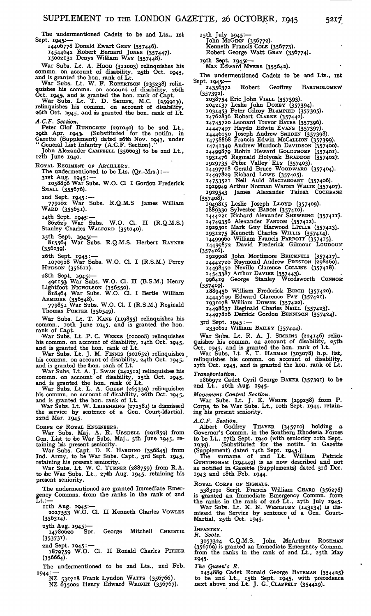The undermentioned Cadets to be 2nd Lts., ist Sept. 1945:—

14406778 Donald Ewart GREY (357446).

14544642 Robert Bernard JONES (357447). 15002132 Denys William WAY (357448).

War Subs. Lt. A. HOOD (311003) relinquishes his commn. on account of disability, 25th Oct. 1945, and is granted the hon. rank of Lt.

War Subs. Lt. W. F. ROBERTSON (235238) relinquishes his commn. on account of disability, 26th

Oct. 1945), and is granted the hon. rank of Capt.<br>War Subs. Lt. T. D. SEIGNE, M.C. (259913),<br>relinquishes his commn. on account of disability,<br>26th Oct. 1945, and as granted the hon. rank of Lt. *A.C.F. Section.*

Peter Olof RUNDGREN (291040) to be 2nd Lt., 29th Apr. 1943. (Substituted for the notifn. in Gazette (Supplement) dated 26th Nov. 1943, under "General List Infantry (A.C.F. Section)."

John Alexander CAMPBELL (356603) to be 2nd Lt., i2th June 1940.

ROYAL REGIMENT OF ARTILLERY.

The undermentioned to be Lts. (Qr.-Mrs.): — 3ist Aug. 1945: —

1058896 War Subs. W.O. Cl I Gordon Frederick SMALL (355676).

2nd Sept. 1945: — 779102 War Subs. R.Q.M.S James William

WARD (355651).

i4th Sept. 1945.:— 862629 War Subs. W.O. Cl. II (R.Q.M.S.) Stanley Charles WALFORD (356140).

i<sub>5</sub>th Sept.<br>815564 815561 Map Julie Communist Communist Communist Register RAYNER  $(356139).$ 

26th Sept. 1945 : — 1070928 War Subs. W.O. Cl. I (R.S.M.) Percy HUDSON (356611).

28th Sept. 1945:—<br>
491153 War Subs. W.O. Cl. II (B.S.M.) Henry<br>
Lightfoot NicHolson (356550).<br>
818464 War Subs. W.O. Cl. I Bertie William<br>
ARMIGER (356548).<br>
779851 War Subs. W.O. Cl. I (R.S.M.) Reginald

Thomas PORTER (356549).

War Subs. Lt. T. KANE (119855) relinquishes his commn., roth June 1945, and is granted the hon.<br>rank of Capt.

War Subs. Lt. P. C. WEEKS (100008) relinquishes his commn. on account of disability, I4th Oct. 1945,

and is granted the hon. rank of Lt.<br>War Subs. Lt. J. M. FINNIS (201652) relinquishes<br>his commn. on account of disability, 24th Oct. 1945,

and is granted the hon. rank of Lt.<br>War Subs. Lt. A. J. Swan  $(242512)$  relinquishes his<br>commn. on account of disability, 25th Oct. 1945,<br>and is granted the hon. rank of Lt.<br>War Subs. Lt. L. A. GREEN  $(265339)$  relinquish

22nd Mar. 1945.

CORPS OF ROYAL ENGINEERS.

War Subs. Maj. A. R. UBSDELL (291859) from Gen. List to be War Subs. Maj., 5th June 1945, re-

taining his present seniority.<br>War Subs. Capt. D. E. HARDING (356845) from<br>Ind. Army, to be War Subs. Capt., 3rd Sept. 1945,<br>retaining his present seniority.<br>War Subs. Lt. W. C. TuRNER (288759) from R.A.<br>to be War Subs. Lt

present seniority

The undermentioned are granted Immediate Emer-gency Commns. (from the ranks in the rank of 2nd  $\mathtt{Lt}:=$ 

nth Aug. 1945:— 2027553 W.O. Cl. II Kenneth Charles VOWLES (356314)-

25th Aug. 1945:--<br>14780620 Spr. George Mitchell CHRISTIE (353731).

2nd Sept. 1945 : — 1879759 W.O. Cl. II Ronald Charles PITHER

1879759<br>(356664).

The undermentioned to be 2nd Lts., 2nd Feb. 1944:— NZ 53.1718 Frank Lyndon WATTS (356766).

NZ 635002 Henry Edward WRIGHT (356767).

i5th July 1945,:— John McGiNN (356772). Kenneth Francis COLE (356773). Robert George Watt GRAY (356774).

i9th Sept. 19451:— Max Edward MYERS (355642).

The undermentioned Cadets to be 2nd Lts., ist

Sept. 1945.:— Robert Geoffrey BARTHOLOMEW (357392).

- 2038754 Eric John VIALL (357393)- 2042137 Leslie John DOXEY (357394).
	-
	- I93I453 Peter Gilroy BLAMPIED (357395)- 14762836 Robert CLARKE (357442). 14745720 Leonard Trevor BATES (357396).
	-
	-
	-
	- 14447497 Haydn Edwin Evans (357397).<br>14446050 Joseph Andrew Snepen (357398).<br>14758868 Francis Edwin McCaLLIon (357399).
	- 14741349 Andrew Murdoch DAVIDSON (357400). 14499879 Robin Heward GOLDTHORP (3574O<sup>1</sup> )- 1931476 Reginald Holyoak BRADDON (357402)'.
	-
- 

1929735 Peter Valley Elx (357403).<br>14497718 Gerald Bruce Woodward (357404).<br>14497829 Richard Lowe (357405).<br>14753521 Neil Auld MacraGoart (357406).<br>1929949 Arthur Norman Warren WHITE (357407).<br>1929543 James Alexander Tains

(357408).

- 1949815 Leslie Joseph LLOYD (357409). 1889330 Sylvester BARON (357410).
- 1444221 Richard Alexander SHEWRING (357411).

14749356 Alexander FANTOM (357412).

- 
- 1929301 Mark Guy Harwood LITTLE (357413).<br>1931275 Kenneth Charles WILLIS (357414).<br>14499960 William Francis PARROTT (357415).<br>14499872 David Frederick Gilmour LOUDOUN
- 
- (357416).

1929908 John Mortimore BRICKNELI (357417). 14442720 Raymond Andrew PRESTON (298260). 14498450 Neville Clarence COLLINS (357418).

- 14543387 Arthur DAVIES (357443)- 996419 George Stanley Wordsworth CONNOR- (3574\*9).
- 1889456 William Frederick BIRCH (357420). 14445699 Edward Clarence PAY (357421). 1931078 William DOWNS (357422). 14498637 Reginald Charles NEILL (357423).
- 
- 14497816 Derrick Gordon BENNISON (357424).

3rd Sept. 1945: —<br>2330621 William Baney (357444).

War Subs. Lt. R. A. J. SIMKINS (224146) relinquishes his commn. on account of disability, 25th<br>Oct. 1945, and is granted the hon. rank of Lt.<br>War Subs. Lt. E. T. HARMAN (303078) h.p. list,<br>relinquishes his commn. on account of disability,

27th Oct. 1945, and is granted the hon. rank of Lt.

*Transportation.* 1866972 Cadet Cyril George BAKER (357391) to be 2nd Lt., 26th Aug. 1945.

*Movement Control Section.* War Subs. Lt. J. E. WHITE (299258) from P. Corpa, to be War Subs. Lt., loth Sept. 1944, retaining his present semority.

*A.C.F. Section.*

Albert Godfrey THAYER (345710) holding a Governor's Commn. in the Southern Rhodesia Forces to be Lt., i7th Sept. 1940 (with seniority nth Sept. I 939). (Substituted for the notifn. in Gazette (Supplement) dated i4th Sept. 1945.)

The surname of 2nd Lt. William Patrick CUNNINGHAM (294449) is as now described and not as notified in Gazette (Supplements) dated 3rd Dec. 1943 and 18th Feb. 1944.

Royal Corps or Signals.<br>5383291 Serjt. Francis William CHARD (356278)<br>is granted an Immediate Emergency Commn. from<br>the ranks in the rank of 2nd Lt., 27th July 1945.<br>War Subs. Lt. K. N. WESTBURY (143134) is dis-<br>missed the

INFANTRY.

*R. Scots.* 3 O 53324 C.Q.M.S. John McArthur ROSEMAN" (356769) is granted an Immediate Emergency Commn. from the ranks in the rank of 2nd Lt., 25th May 1945-

*The Qiteen's R.*

1454889 Cadet Ronald George BATEMAN (354425) to be 2nd Lt., isth Sept. 1945, with precedence next above 2nd Lt. J. G..CLAP.FELT (354429).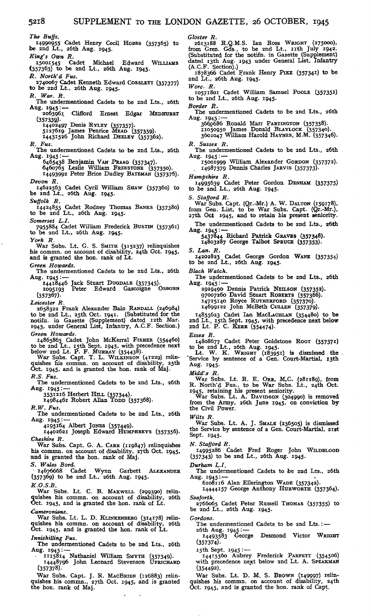*The Buffs,*

5218

14990955 Cadet Henry Cecil HOBBS (357365) to be 2nd Lt., 26th Aug. 1945.

*King's Own R.* 15001545 Cadet Michael Edward WILLIAMS (357363) to be and Lt., 26th Aug. 1945.

*R. North'd Fus.*

2740067 Cadet Kenneth Edward COSSLETT (357377) to be 2nd Lt., 26th Aug. 1945. *R. War. R.*

The undermentioned Cadets to be 2nd Lts., 26th

Aug. 1945: — 2063961 Clifford Ernest Edgar MEDHURST (357339)-

14402497 Denis RYLEY (357357)- 5127619 James Penrice MEAD (357359). 14431526 John Richard DEELEY (357362).

*R. Fus.*

The undermentioned Cadets to be 2nd Lts., 26th

Aug. 1945: — 6465438 Benjamin VAN PRAAG (357347). 6460765 Leslie William FREESTONE (357350). J 4493992 Peter Brice Dudley BATEMAN (357376).

*Devon R.*

14622563 Cadet Cyril William SHAW (357360) to be 2nd Lt., 26th Aug. 1945.

*Suffolk R.* 14424855 Cadet Rodney Thomas BANKS (357380) to be 2nd Lt., 26th Aug. 1945.

*Somerset L.I.* 7955884 Cadet William Frederick BUSTIN (357361) to be and Lt., 26th Aug. 1945.

*York R.*

War Subs. Lt. G. S. SMITH (315237) relinquishes<br>his commn. on account of disability, 24th Oct. 1945,<br>and is granted the hon. rank of Lt.

*Green Howards.*

The undermentioned Cadets to be 2nd Lts., 26th Aug. 1945:-

14418446 Jack Stuart DUGDALE (357345). 1095193 Peter Edward Gascoigne OSBORN (357367)-

*Leicester R.*

2658322 Frank Alexander Bain RANDALL (246984) to be 2nd Lt., 25th Oct. 1941. (Substituted for the notifn. in Gazette (Supplement) dated I2th Mar. 1943, under General List, Infantry, A.C.F. Section.) *Green Howards.*

14865865 Cadet John McKerral FISHER (354460) to be 2nd Lt., i5th Sept. 1945, with precedence next below 2nd Lt. P. F. MURRAY (354438). War Subs. Capt. T. L. WILKINSON (41229) relin-

quishes his commn. on account of disability, 25th Oct. 1945, and is granted the hon. rank of Maj.

*R.S. Fus.* The undermentioned Cadets to be 2nd Lts., 26th Aug. 1945: — 3531216 Herbert HILL (357344). 14984461 Robert Allan TODD (357368).

*R.W. Fus.*

The undermentioned Cadets to be 2nd Lts., 26th Aug. 1945:-

4195164 Albert JONES (357449)- 14402621 Joseph Edward HUMPHREYS (357356). *Cheshire R.*

War Subs. Capt. G. A. CARR (119847) relinquishes his commn. on account of disability, syth Oct. 1945, and is granted the hon. rank of Maj.

S. Wales Bord.<br>**•** 14676668 Cadet Wynn Garbett ALEXANDER<br>(357369) to be 2nd Lt., 26th Aug. 1945.

*K.O.S.B.*

War Subs. Lt. C. B. MAXWELL (299390) relinquishes his commn. on account of disability, 26th Oct. 1945, and is granted the hon. rank of Lt.

*Cameronians.* War Subs. Lt. L. D. KLINKENBERG (314178) relin-quishes his commn. on account of disability, 26th Oct. 1945, and is granted the hon. rank of Lt.

*Inniskilling Fus.*

The undermentioned Cadets to be 2nd Lts., 26th Aug. 1945: —

- 1115814 Nathaniel William SMYTH (357349). 14448796 John Leonard Stevenson UPRICHARD (357378).

War Subs. Capt. J. R. MACBRIEN (126883) relin-quishes his commn., 27th Oct. 1945, and is granted the hon. rank of Maj.

*Gloster R.*

2613188 R.Q.M.S. Ian Ross WRIGHT (275000), from Gren. Gds., to be 2nd Lt., nth July 1942. (Substituted for the notifn. in Gazette (Supplement) dated i3th Aug. 1943 under General List, Infantry (A.C.F. Section).)

1878366 Cadet Frank Henry PIKE (35734\*) to be 2nd Lt., 26th Aug. 1945.

*Wore. R.*

10571801 Cadet William Samuel POOLE (35735\*) to be 2nd Lt., 26th Aug. 1945.

*Border R.*

The undermentioned Cadets to be 2nd Lts., 26th Aug. 1945: — 3665686 Ronald Marr PARTINGTON (357338). 11050950 James Donald BLAYLOCK (357340).

3601047 William Harold HAYNES, M.M. (357346).

*R. Sussex R.*

The undermentioned Cadets to be 2nd Lts., 26th Aug. 1945: —

15001999 William Alexander GORDON (357372). 14987379 Dennis Charles JARVIS (357373)-

*Hampshire R.*

J 4995639 Cadet Peter Gordon DENHAM (357375) to be 2nd Lt., 26th Aug. 1945.

*S. Stafford R.*

War Subs. Capt. (Qr.-Mr.) A. W. DALTON (159178), from Gen. List, to be War Subs. Capt. (Qr.-Mr.), 27th Oct 1945, and to retain his present seniority.

The undermentioned Cadets to be 2nd Lts., 26th

Aug. 1945= — 5437844 Richard Patrick GRAVES (357348).

14803287 George Talbot SPRUCE (357353).

*S. Lan. R.*

14202823 Cadet George Gordon WANE (357354) to be 2nd Lt., 26th Aug. 1945.

*Black Watch.*

The undermentioned Cadets to be 2nd Lts., 26th Aug.  $1945$ :

2929490 Dennis Patrick NEILSON (357352). 97007260 David Stuart ROBERTS (357366).

14725140 Royce RUTHERFORD (357370).

14699122 John McBeth CULLEN (357379).

14855623 Cadet Ian MACLACHLAN (354480) to be 2nd Lt., i5th Sept. 1945, with precedence next below 2nd Lt. P. C. KERR (354474).

*Essex R.*

14808677 Cadet Peter Goldstone Roor (357371)<br>to be 2nd Lt., 26th Aug. 1945.<br>Lt. W. K. WRIGHT (183951) is dismissed the<br>Service by sentence of a Gen. Court-Martial, 13th

Aug. 1945.

*Midd'x R.*

War Subs. Lt. R. E. ORR, M.C. (281189), from R. North'd Fus., to be War Subs. Lt., 24th Oct.

1945, retaining his present seniority. War Subs. Lt. A. DAVIDSON (304990) is removed from the Army, 26th June 1945, on conviction by the Civil Power.

*Wilts R.*

War Subs. Lt. A. J. SMALE (236505) is dismissed the Service by sentence of a Gen. Court-Martial, 2ist Sept. 1945.

*N. Stafford R.*

14995286 Cadet Fred Roger John WILDBLOOD (357343) to be 2nd Lt., 26th Aug. 1945.

*Durham L.I.*

The undermentioned Cadets to ibe 2nd Lts., 26th Aug. 1945: — 6108116 Alan Ellerington WADE (357342).

14444157 George Anthony HURWORTH (357364). *Seaforth.*

2766065 Cadet Peter Russell THOMAS (357355) to be 2nd Lt., 26th Aug. 1945.

*Gordons.*

The undermentioned Cadets to be 2nd Lts.: —

26th Aug. 1945: — 14493583 George Desmond Victor WRIGHT (357374).

15th Sept. 1945:-

14415560 Aubrey Frederick PARFETT (354506) with precedence next below 2nd Lt. A. SPEAKMAN (354492).

War Subs. Lt. D. M. S. BROWN (149997) relin-quishes his commn. on account of disability, 24th Oct. 1945, and is granted the hon. rank of Capt.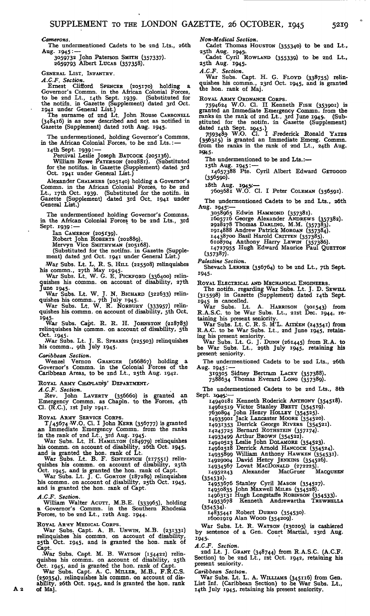*Camerons.*

The undermentioned Cadets to be and Lts., 26th Aug. 1945:

3059732 John Paterson SMITH (357337). 2659793 Albert LUCAS (357358).

GENERAL LIST, INFANTRY.

*A.C.F. Section.*

Ernest Clifford SPENCER (205170) holding a Governor's Commn. in the African Colonial Forces, to be 2nd Lt., 14th Sept. 1939. (Substituted for the notifn. in Gazette (Supplement) dated 3rd Oct. 1941 under General List.) The

Gazette (Supplement) dated roth Aug. 1945.

The undermentioned, holding Governor's Commns.<br>in the African Colonial Forces, to be 2nd Lts.:— 14th Sept. 1939: —

Percival Leslie Joseph BATCOCK (205136).<br>William Rowe PATERSON (202881). (Substituted<br>for the notifns. in Gazette (Supplement) dated 3rd Oct. 1941 under General List.)

Alexander CHALMERS (205140) holding a Governor's Commn. in the African Colonial Forces, to be 2nd Lt., i7th Oct. 1939. (Substituted for the notifn. in Gazette (Supplement) dated 3rd Oct. 1941 under General List.)

The undermentioned holding Governor's Commns. in the African Colonial Forces to be 2nd Lts., 3rd Sept. 1939:-

Ian CAMERON (205\*39). Robert John ROBERTS (202889). Mervyn Vice SMITHYMAN (205168). (Substituted for the notifns. in Gazette (Supplement) dated 3rd Oct. 1941 under General List.)

/War Subs. Lt. L. R. S. HILL (225508) relinquishes his commn., 27th May 1945.

War Subs. Lt. W. G. E. PICKFORD (336400) relin- uishes his commn. on account of disability, 27th

? une 1945. War Subs. Lt. W. J. N. BICHARD (322633) relinquishes his commn., 7th July 1945.<br>War Subs. Lt. W. R. NORBURY (333957) relin-

quishes his commn. on account of disability, 5th Oct.

1945.<br>War Subs. Capt. R. R. H. JOHNSTON (218783)<br>relinquishes his commn. on account of disability, 5th<br>Oct. 1945.

War Subs. Lt. J. E. SPEARES (225503) relinquishes his commn., gth July 1945.

*Caribbean Section.*

Wenzel Vernon GRANGER (266867) holding a Governor's Commn. in the Colonial Forces of the Caribbean Areas, to be 2nd Lt., 25th Aug. 1942.

ROYAL ARMY CHAPLAINS' DEPARTMENT.

A.C.F. Section.<br>
Rev. John LAVERTY (356660) is granted an<br>
Emergency Commn. as Chapln. to the Forces, 4th<br>
Cl. (R.C.), ist July 1941.

ROYAL ARMY SERVICE CORPS. T/45674 W.O. Cl. I John KERR (356777) is granted an Immediate Emergency Commn. from the ranks

in the rank of 2nd Lt., 3rd Aug. 1945. War Subs. Lt. H. HAMILTON (184979) relinquishes his commn. on account of disability, 26th Oct. 1945, and is granted the hon. rank of Lt.<br>War Subs. Lt. B. F. SINTZENICH (217551) relin-

quishes his commn. on account of disability, 25th Oct. 1945, and is granted the hon. rank of Capt. War Subs. Lt. J. C. GORTON (187289) relinquishes

his commn. on account of disability, 25th Oct. 1945, and is granted the hon. rank of Capt.

*A.C.F. Section.*

A 2

William Walter ACUTT, M.B.E. (333965), holding a Governor's Commn. in the Southern Rhodesia Forces, to be 2nd Lt., i2th Aug. 1944.

ROYAL ARMY MEDICAL CORPS.

War Subs. Capt. A. B. UNWIN, M.B. (231331) relinquishes iis commn. on account of disability, 25th Oct. 1945, and is granted the hon. rank of Capt. War Subs. Capt. M. B. WATSON (154422) relin-

quishes his commn. on account of disability, 25th

Oct. 1945, and is granted the hon. rank of Capt.<br>War Subs. Capt. A. C. MILLER, M.B., F.R.C.S.<br>(250354), relinquishes his commn. on account of dis-<br>ability, 26th Oct. 1945, and is granted the hon. rank<br>of Maj.

*Non-Medical Section.*

Cadet Thomas HOUSTON (355340) to be 2nd Lt.,

25th Aug. 19451. Cadet Cyril ROWLAND (355339) to be 2nd Lt., 25th Aug. 1945.

A.C.F. Section.<br>
War Subs. Capt. H. G. FLOYD (338755) relin-<br>
quishes his commn., 23rd Oct. 1945, and is granted<br>
the hon. rank of Maj.

Roval ARMY ORDNANCE CORPS.<br>
7594624 W.O. Cl. II Kenneth FISH (353901) is<br>
granted an Immediate Emergency Commn. from the<br>
ranks in the rank of 2nd Lt., 3rd June 1945. (Sub-<br>
stituted for the notifn. in Gazette (Supplement)

\*9I45-

The undermentioned to be 2nd Lts.:—

15th Aug. 1945<mark>:—</mark><br>14657388 Pte. Cyril Albert Edward Ge<del>r</del>goo<mark>p</mark>

(356590).

iSth Aug. 19451:—

7603681 W.O. Cl. I Peter COLEMAN (356591).

The undermentioned Cadets to be 2nd Lts., 26th Aug. 1945:—

3058965 Edwin HAMMOND (357381).

1605716 George Alexander ANDREWS (337382). 2928278 Thomas DARLING, M.M. (357383). 1914888 Andrew Patrick MORGAN (357384). 14438700 Basil Harold CRITTEN (357385). 6108704 Anthony Harry LEWIN (357386).

14727955 Hugh Edward Maurice Paul QUETTON (357387)-

*Palestine Section.*

Shevach LERNER (356764) to be 2nd Lt., 7th Sept. 1945-

ROYAL ELECTRICAL AND MECHANICAL ENGINEERS. The notifn. regarding War Subs. Lt. J. D. SEWILL (315598) in Gazette (Supplement) dated i4th Sept.

1945 is cancelled. War Subs. Lt. A. HARRISON (301543) from R.A.S.C. to be War Subs. Lt., 2ist Dec. 1944, re-taining his present seniority.

War Subs. Lt. C. R. S. M'L. AITKEN (243541) from<br>R.A.C. to be War Subs. Lt., 2nd June 1945, retaining his present seniority.

War Subs. Lt. G. J. DUNN (261445) from R.A. to be War Subs. Lt., 29th July 1945, retaining his present seniority.

The undermentioned Cadets to be 2nd Lts., 26th Aug. 1945: —<br>319305 Sidney Bertram Lacev (357388).<br>7588634 Thomas Everard Long (357389).

The undermentioned Cadets to be 2nd Lts., 8th Sept. 1945.

14940181 Kenneth Roderick ANTHONY (354518).

14962519 Victor Stanley BRETT (354519). 7630894 John Henry HOLLEY (354525).

14935901 Jack Lancaster MOORE (354520). I 493<sup>I</sup> 353 Derrick George RIVERS (354521). 14245725 Bernard ROTHSTEIN (357174).

14933499 Arthur BROWN (354522). 14940523 Leslie John DOLAMORE (354523).

14962518 Derrick Arnold HANCOCK (354524).

14935899 William Anthony HAWKEN (354531).

14929004 David Henry JENKINS (354526). 14934567 Lovat MACDONALD (272225).

14952243 Alexander MacGruer MACQUEEN (354532).

14953676 Stanley Cyril MASON (354527). 14950835 John Maxwell MILES (354528).

14963131 Hugh Longstaffe ROBINSON (354533). 14953678 Kenneth Andrewartha TREWHELLA

(354534)- 14835441 Robert DURNO (354530). 16001919 Alan WOOD (354209).

War Subs. Lt. R. WATSON (230103) is cashiered by sentence of a Gen. Court Martial, 23rd Aug. I945--

*A.C.F. Section.*

2nd Lt. J. GRANT (348744) from R.A.S.C. (A.C.F. Section) to be 2nd Lt., ist Oct. 1942, retaining his present seniority.

*Caribbean Section.*

War Subs. Lt. L. A. WILLIAMS (345116) from Gen. List Inf. (Caribbean Section) to be War Subs. Lt., I4th July 1945, retaining his present seniority.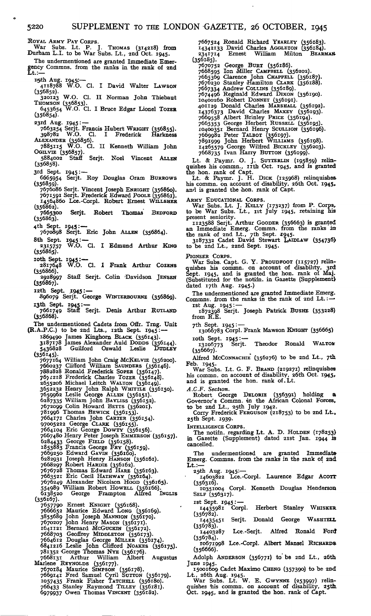ROYAL ARMY PAY CORPS. War Subs. Lt. P. J. THOMAS (314218) from Durham L.I. to be War Subs. Lt., 2nd Oct. 1945. The undermentioned are granted Immediate Emergency Commns. from the ranks in the rank of and Lt.:— I David Walter LAWSON 320123 W.O. Cl. II Norman John Thiebaut 1945: — Serjt. Roy Douglas Gram BURROWS 1945: — Serjt. Eric John ALLEN (356864). 1945:—<br>W.O. Cl. I Edmund Arthur King 10th Sept. 1945:—<br>19817648 W.O. Cl. 1 Frank Arthur Cozens<br>(356866). Aug. 1945;: — 4118788 W.O. Cl.  $(356852)$ . THOMSON (356853). 6453654 W.O. Cl. I Bruce Edgar Lionel TOZER  $(356854)$ 23rd Aug. 1945: — 7663254 Serjt. Francis Hubert WRIGHT (356855). 398782 W.O. Cl. I Frederick Harkness ALEXANDER (356856). 7885115 W.O. Cl. II Kenneth William John OGILVIE (356857). 5884002 Staff Serjt. Noel Vincent ALLEN (356858). 3rd Sept. 6665954 (356859). 7676086 Serjt. Vincent Joseph ENRIGHT (356860).<br>7671591 Serjt. Frederick Edward Poole (356861).<br>14564860 Lce.-Corpl. Robert Ernest WILLSHER<br>(356862).<br>7665300 Serjt. Robert Thomas BEDFORD  $7665300$ <br>(356863). 4th Sept. 7670898 8th Sept. 2315757 (356865). 2928997 Staff Serjt. Colin 'Davidson JENSEN  $(356867)$ . 1330007,7<br>12th Sept. 1945 : —<br>896079 Serjt. George WINTERBOURNE (356869). I3th Sept. 1945: — 7661749 Staff Serjt. Denis Arthur RUTLAND (356868). The undermentioned Cadets from Offr. Trng. Unit (R.A.P.C.) to be 2nd Lts., 12th Sept. 1945: --1669490 James Kinghorn BLACK (356143). 3187178 James Alexander Auld DODDS (356144). 5436828 Guilford Oswald Leslie DUDLEY  $5436828$ <br>(356145). 7677164 William John Craig McKELVIE (356200).<br>7660237 Clifford William SAUNDERS (356146).<br>788:828 Ronald Frederick Soren (356147).<br>7674218 Frederick Charles TozER (356147).<br>7674218 Frederick Charles TozER (356148).<br>8653206 7664171 Charles John CARTER (356154). 97005222 George CLARK (356155).<br>7664104 Eric George Dowry (356156).<br>7667480 Henry Peter Joseph EMMERSON (356157).<br>6284433 George FIELD (356158).<br>6284433 George FIELD (356158).<br>1833883 Francis George FRY (356159).<br>7669250 E 7676249 Alexander Nicolson HOOD (356165). 554989 William Robert HOWELL (356166). 6138520 George Frampton Alfred INGLIS (356167). 7657790 Ernest KNIGHT (356168). 7666652 Maurice Edward LONG (356169). 3855689 John Joseph MANNION (356170). 7670207 John Henry MASON (356171). 1641121 Bernard McGucKiN (356172). 7668703 Geoffrey MIDDLETON (356173). 7664612 Douglas George MILLER (356174). 6841216 Leslie John Clifford NOAKES (356175). 781352 George Thomas NYE (356176). 7668131 Arthur William Albert Augustus Marlene REYNOLDS (356177).<br>
7670184 Maurice SIMPSON (356178).<br>
7669141 Fred Samuel Cyril SUTTON (356179).<br>
1057435 Frank Fisher TATCHELL (356180).<br>
766433 Stanley Raymond TILLEY (356181). 6979937 Owen Thomas VINCENT (356182).

 $(356185)$ . 7670752 George BURT (356186).<br>7668595 Ion Miller CAMPBELL (356202).<br>7663596 Clarence John CHAPPELL (356187).<br>7676230 Stanley Hamilton CLARK (356188).<br>7667334 Andrew Cottlins (356189).<br>7674496 Reginald Edward Dixon (356190) 7669558 Albert Brinley PRICE (356194). 7665353 George Herbert RUSSELL (356195). 10400351 Bernard Henry SCULLION (356196). 7669982 Peter TALBOT (356197). 7891999 John Herbert WILLIAMS (356198). 14265579 George Wilfred BICKLEY (356203). 7668735 Ivan Harry BUTTON (356199).

7667524 Ronald Richard YEARLEY (356183). 14342133 David Charles AGGLETON (356184). 2341714 Ernest William Milton BEARMAW

Lt. & Paymr. O. J. SUTTERLIN (195859) relin-quishes his commn., nth Oct. 1945, and is granted the hon. rank of Capt.

Lt. & Paymr. J. H. DICK (125968) relinquisheshis commn. on account of disability, 26th Oct. I945<sup>&</sup>gt; and is granted the *hon.* rank of Capt.

ARMY EDUCATIONAL CORPS.<br>War Subs. Lt. J. KELLY (173237) from P. Corps,<br>to be War Subs. Lt., 1st July 1945, retaining his present seniority.

II23588 Serjt. Arthur Gooder (356663) is granted<br>an Immediate Emerg. Commn. from the ranks in<br>the rank of 2nd Lt., 7th Sept. 1945.<br>3187332 Cadet David Stewart LADLAW (354736)<br>to be 2nd Lt., 22nd Sept. 1945.

PIONEER CORPS.

War Subs. Capt. G. Y. PROUDFOOT (115727) relin-quishes his commn. on account of disability, 3rd. Sept. 1945, and is granted the hon. rank of Maj. (Substituted for the notifn. in Gazette (Supplement} dated 17th Aug. 1945.)

The undermentioned are granted Immediate Emerg.<br>Commns. from the ranks in the rank of 2nd Lt.: --

ist Aug. 1945: — 1872398 Serjt. Joseph Patrick BUSHE (353228)

from R.E.

7th Sept. 1945 :—<br>13066783 Corpl. Frank Mawson KNIGHT (356665)

roth Sept. 1945: —<br>13106773 Serjt. Theodor Ronald WALTOM (356667).

Alfred MCCONNACHIE (356276) to be 2nd Lt., 7th

Feb. 1945. War Subs. Lt. G. F. BRAND (219271) relinquishes his commn. on account of disability, 26th Oct. 1945, and is granted the hon. rank of. Lt.

*A.C.F. Section.*

Robert George DELORIE (356391) holding a Governor's Commn. in the African Colonal Forces,<br>to be 2nd Lt., 25th July 1942.<br>Corry Frederick FERGUSON (218753) to be 2nd Lt.,

25th Sept. 1939-

INTELLIGENCE CORPS.

The notifn. regarding Lt. A. D. HOLDEN (178253) in Gazette (Supplement) dated 2.ist Jan. 1944 is cancelled.

The undermentioned are granted Immediate Emerg. Commns. from the ranks in the rank of 2nd  $\mathbf{L}$ t.:-

25,th Aug. 1945:— 14603822 Lce.-Corpl. Laurence Edgar ACOTT  $(356316)$ .

10351004 Corpl. Kenneth Douglas Henderson SELF (356317).

ist Sept. 1945: — Herbert Stanley WHISKER  $(356782)$ .

Serjt. Donald George WASHTELL  $x$ <sup>1435451</sup><br>(356783).<br>14403287 Lce.-Serjt. Alfred Ronald Ford

 $(356784)$ . 10671998 Lce.-Corpl. Albert Mansel RICHARDS

(356666). Adolph ANDERSON (356771) to be 2nd Lt., 26th

June 1945.<br>
15001609 Cadet Maximo CHENG (357390) to be 2nd<br>
Lt., 26th Aug. 1945.<br>
War Subs. Lt. W. E. Gwynne (253997) relin-<br>
quishes 'his commn. on account of disability, 25th.<br>
Oct. 1945, and is granted the hon. rank of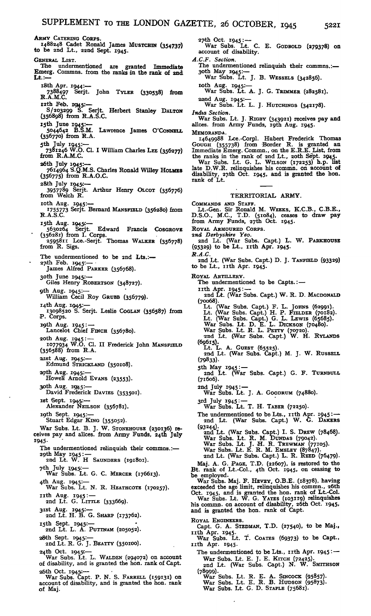ARMY CATERING CORPS. 1488248 Cadet Ronald James MUSTCHIN (354737) to be 2nd Lt., 22nd Sept. 1945. GENERAL LIST.<br>The undermentioned The undermentioned are granted Immediate Emerg. Commns. from the ranks in the rank of 2nd Lt.: i.8th Apr. 1944:— 7388497 Serjt. John TYLER (330538) from R.A.M.C. I2th Feb. 19145:— 8/203299 S. Serjt. Herbert Stanley DALTON (356898) from R.A.S.C. I5th June 1945:— 5044642 B.S.M. Lawrence James O'CoNNELL (356770) from R.A. 5th July 1945:— 7381246 W.O. Cl. I William Charles LEE (356277) from R.A.M.C. 26th July 1945:— 7614964 S.Q.M.S. Charles Ronald Willey HOLMES (356775) from R.A.O.C. 2&th July 1945:— 3957789 Serjt. Arthur Henry QLCOT (356776) from Welch R. loth Aug. 1945:— <sup>1</sup> 755773 Serjt. Bernard MANSFIELD (356280) from R.A.S.C. 15th Aug. 1945<mark>:—</mark> 5630264 Serjt. Edward Francis COSGROVE • (356281) from I. Corps. 2595811 Lce.-Serjt. Thomas WALKER (356778) from R. Sigs. The undermentioned to be 2nd Lts.:— $27$ th Feb.  $1945$ :— James Alfred PARKER (356768). 3Oth June 1945.:— Giles Henry ROBERTSON (348727). 9th Aug. 1945:— William Cecil Roy GRUBB (356779). 14th Aug. 1945.:— 13098520 S. Serjt. Leslie COGLAN (356587) from •P. Corps. 19th Aug. 1945: --<br>Lancelot Chief FINCH (356780). 20th Aug. 1945 :-1077934 W.O. Cl. II Frederick John MANSFIELD (356588) from R.A. 2.ist Aug. 1945:— Edmund STRICKLAND (350108). Aug. 1945:— Howeli Arnold EVANS (23553). 30th Aug. 119(45:— David Frederick DA VIES (353501). ist Sept. 194.5,:— Alexander NEILSON (356781). i9th Sept. 1945:— Stuart Edgar KING (355052). War Subs. Lt. B. J. W. STONEHOUSE (230136) re-ceives pay and allces. from Army Funds, 24th July 1945- The undermentioned relinquish their commns.:— 29th May 1945: —<br>2nd Lt. W. H SAUNDERS (191801). 7th July 1.945':— War Subs. Lt. G. C. MERCER (176613). 4th Aug. 1945"— War Subs. Lt. N. R. HEATHCOTE (170257). nth Aug. 1945: --<br>2nd Lt. G. LITTLE (333669). 31st Aug. 1945. ---<br>2nd Lt. H. B. G. SHARP (173762). i5th Sept. 1945.:— 2nd Lt. L. A. PUTTNAM (205052). 2i8th Sept. 1945:— 2nd Lt. R. G. J. BEATTY (350100). 2'4th Oct. 19451:— War Subs. Lt. L. WALDEN (294072) on account of disability, and is granted the hon. rank of Capt. 2j&th Oct. 19451:— War Subs. Capt. P. N. S. FARRELL (159131) on account of disability, and is granted the hon. rank •27th Oct. 1945: — War Subs. Lt. C. E. GODBOLD (279378) on account of disability. *A.C.F. Section.* The undermentioned relinquish their commns.:— 3Oth May 1945:— War Subs. Lt. J. B. WESSELS (342856). loth Aug. 1945:— War Subs. Lt. A. J. G. TRIMMER (282581). 22nd Aug. 1945:-War Subs. Lt. L. J. HUTCHINGS (342178). *India Section.* War Subs. Lt. J. RIGBY (343921) receives pay and allces. from Army Funds, igth Aug. 1945. **MEMORANDA** 14649988 Lce.-Corpl. Hubert Frederick Thomas Gough (355738) from Border R. is granted an immediate Emerg. Commn., on the E.R.E. List, from the ranks in the rank of 2nd Lt., 2Oth Sept. 1945. War Subs. Lt. G. L. WILSON (172253) h.p. list late D.W.R. relinquishes his commn. on account of disability, ay.th Oct. 1945, and is granted the hon. rank of Lt. COMMANDS AND STAFF. Lt.-Gen. Sir Ronald M. WEEKS, K.C.B., C.B.E., D.S.O., M.C., T.D. (51084), ceases to draw pay from Army Funds, 27th Oct. 1945. ROYAL ARMOURED CORPS. *znd Derbyshire Yeo.* 2nd Lt. (War Subs. Capt.) L. W. PARKHOUSE (95329) to be Lt., nth Apr. 1945. *R.A.C.* 2nd Lt. (War Subs. Capt.) D. J. TANFIELD (93329) to be Lt., 11th Apr. 1945. ROYAL ARTILLERY. The undermentioned to be Capts.:nth Apr. 1945: — 2nd Lt. (War Subs. Capt.) W. R. D. MACDONALD (70068). Lt. (War Subs. Capt.) F. L. Jonns (62991). Lt. (War Subs. Capt.) H. P. FIELDER (70182). Lt. (War Subs. Capt.) G. L. LEWIS (65685). (69615). (79833)- (71606).

of Maj.

War Subs. Lt. D. E. L. DICKSON (70480).<br>War Subs. Lt. R. L. PETTY (70720).<br>2nd Lt. (War Subs. Capt.) W. H. RYLANDS Lt. L. A. GUEST (65525). 2nd Lt. (War Subs. Capt.) M. J. W. RUSSELL 5th May 1945: --<br>2nd Lt. (War Subs. Capt.) G. F. TURNBULL 2nd July 1945: — War Subs. Lt. J. A. GOODRUM (74880). 3rd July 1945: —<br>War Subs. Lt. T. H. TABER (72250). The undermentioned to be Lts., 11th Apr. 1945: --<br>2nd Lt. (War Subs. Capt.) W. G. DAKERS (93244). 2nd Lt. (War Subs. Capt.) I. S. DREW (78468). War Subs. Lt. R. M. DUNDAS (79042).<br>War Subs. Lt. J. H. R. TREWMAN (77105).<br>War Subs. Lt. E. R. M. EMSLEY (87847).<br>2nd Lt. (War Subs. Capt.) L. R. REED (76479). Maj. A. G. PAGE, T.D. (22607), is restored to the Maj. A. G. PAGE, T.D. (22607), is restored to the Bt. rank of Lt.-Col., 4th Oct. 1945, on ceasing to be employed.<br>
War Subs. Maj. F. HEVEY, O.B.E. (18378), having<br>
exceeded the age limit, relinquishes his commn., 26th<br>
Oct. 1945, and is granted the hon. rank of Lt.-Col.<br>
War Subs. Lt. W. G. YATES (103119) relinquishes his commn. on account of disability, 26th Oct. 1945, and is granted the hon. rank of Capt. ROYAL ENGINEERS. Capt. G. A. STEDMAN, T.D. (27540), to be Maj.,<br>IIth Apr. 1945.<br>War Subs. Lt. T. Coares (69373) to be Capt., nth Apr. 1945. The undermentioned to be Lts., 11th Apr. 1945:-War Subs. Lt. E. J. E. KITCH (72425)- 2nd Lt. (War Subs. Capt.) N. W. SMITHSON (78999). War Subs. Lt. R. E. A. SINCOCK (95857)- War Subs. Lt. E. R. B. HUDSON (95873)- War Subs. Lt. G. D. STAPLE (75681).

TERRITORIAL ARMY.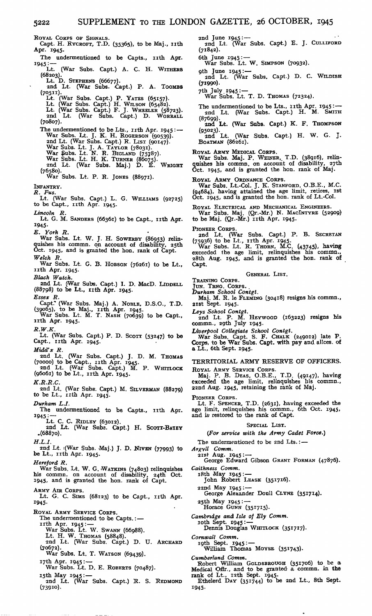ROYAL CORPS OF SIGNALS. Capt. H. RYCROFT, T.D. (35365), to be Maj., nth Apr. 1945.

The undermentioned to be Capts., 11th Apr. 1945: $\frac{1}{1}$ . (War Subs. Capt.) A. C. H. WITHERS

- (War Subs. Capt.) A. C. H. WITHERS
- (68203).<br>
Lt. D. STEPHEN'S (66677).<br>
2nd Lt. (War Subs. Capt.) P. A. TOOMBS<br>(70511).<br>
Lt. (War Subs. Capt.) P. YATES (65157).
- 

- Lt. (War Subs. Capt.) H. WILSON (65482).<br>Lt. (War Subs. Capt.) F. J. WHEELER (58723).<br>2nd Lt. (War Subs. Capt.) D. WORRALL (70807).
- The undermentioned to be Lts., 11th Apr. 1945 : --<br>War Subs. Lt. J. K. H. ROGERSON (90539). 2nd Lt. (War Subs. Capt.) R. LIST (90147). War Subs. Lt. J. A. TAYLOR (78031).<br>War Subs. Lt. N. R. BIGLAND (75787).<br>War Subs. Lt. H. K. TURNER (86075). 2nd Lt. (War Subs. Maj.) D. E. WRIGHT (76580).
- War Subs. Lt. P. R. JONES (88971).

INFANTRY.

*R. Fus.* Lt. (War Subs. Capt.) L. *G.* WILLIAMS (92725) to be Capt., nth Apr. 1945.

*Lincoln R.*

Lincoln R.<br>Lt. G. M. SANDERS (66361) to be Capt., 11th Apr. 1945-

*E. York R.*

War Subs. Lt. W. J. H. SOWERBY (86953) relinquishes his commn. on account of disability, 25th Oct. 1945, and is granted the hon. rank of Capt.

*Welch R.* War Subs. Lt. G. B. HOBSON (76261) to be Lt., nth Apr. 1945.

*Black Watch.*

2nd Lt. (War Subs. Capt.) I. D. MacD. LIDDELL (88798) to be Lt., nth Apr. 1945.

*Essex R.*

Capt.\* (War Subs. Maj.) A. NOBLE, D.S.O., T.D. (39065), to be Maj., nth Apr. 1945. War Subs. Lt. M. T. NASH (70639) to be Capt., nth Apr. 1945.

*R.W.K.*

Lt. (War Subs. Capt.) P. D. SCOTT (53247) to be Capt.,  $r$ th Apr.  $r945$ .

*Midd'x R.*

- and Lt. (War Subs. Capt.) J. D. M. THOMAS (70000) to be Capt., nth Apr. 1945.
- 2nd Lt. (War Subs. Capt.) M. P. WHITLOCK (96061) to be Lt., nth Apr. 1945. *K.R.R.C.*
- 2nd Lt. (War Subs. Capt.) M. SILVERMAN (88279) to be Lt., nth Apr. 1945.

*Durham L.I.*

The undermentioned to be Capts., 11th Apr. 1945: —<br>Lt. C. C. RIDLEY (63012).

2nd Lt. (War Subs. Capt.) H. SCOTT-BATEY .(68870).

*H.L.I.*

2nd Lt. i(War Subs. Maj.) J. D. NIVEN (77993) to be Lt., 11th Apr. 1945.

*Hereford R.*

War Subs. Lt. W. G. WATKINS (74803) relinquishes<br>his commn. on account of disability, 24th Oct.<br>1945, and is granted the hon. rank of Capt.

ARMY AIR CORPS.

Lt. G. C. SIMS (68123) to be Capt., 11th Apr. 1945.

ROYAL ARMY SERVICE CORPS.

- The undermentioned to be Capts. :-
- irth Apr. 1945 : War Subs. Lt. W. SWANN (66988).
	- Lt. H. W. THOMAS (58848).
- 2nd Lt. (War Subs. Capt.) D. U. ARCHARD (70672).

War Subs. Lt. T. WATSON (69439). 17th Apr. 1945: --

War Subs. Lt. D. E. ROBERTS (70487).

15th May 1945 : -

2nd Lt. (War Subs. Capt.) R. S. REDMOND (739io).

2nd June 1945 : — 2nd Lt. (War Subs. Capt.) E. J. CULLIFORD (71842).

6th June 1945:— War Subs. Lt. W. SIMPSON (70932).

gth June 1945:— 2nd Lt. (War Subs. Capt.) D. C. WILDISH (71990).

7th July. 1945: — War Subs. Lt. T. D. THOMAS (72324).

The undermentioned to be Lts., 11th Apr. 1945: --<br>2nd Lt. (War Subs. Capt.) H. M. SMITH (87699)-

and Lt. (War Subs. Capt.) K. F. THOMPSON

(95023)- 2nd Lt. (War Subs. Capt.) H. W. G. J. BOATMAN (86261).

ROYAL ARMY MEDICAL CORPS. War Subs. Maj. P. WEINER, T.D. (38916), relin-quishes his commn. on account of disability, 27th Oct. 1945, and is granted the hon. rank of Maj.

ROYAL ARMY ORDNANCE CORPS.

War Subs. Lt.-Col. J. K. STANFORD, O.B.E., M.C. (94684), having attained the age limit, retires, ist Oct. 1945, and is granted the hon. rank of Lt.-Col.

ROYAL ELECTRICAL AND MECHANICAL ENGINEERS. War Subs. Maj. (Qr.-Mr.) N. MAC!NTYRE (52909) to be Maj. (Qr.-Mr.) nth Apr. 1945.

PIONEER CORPS.

2nd Lt. (War Subs. Capt.) P. B. SECRETAN

(75936) to be Lt., nth Apr. 1945- War Subs. Lt. R. THORN, M.C. (43745), having exceeded the age limit, relinquishes his commn., 28th Aug. 1945, and is granted the hon. rank of Capt.

GENERAL LIST.

TRAINING CORPS. JUN. TRNG. CORPS. .

*Durham School Contgt.* Maj. M. R. le FLEMING (30418) resigns his commn., zist Sept. 1945.

*Leys School Contgt.* 2nd Lt. P. M. HEYWOOD (163223) resigns his commn., 2gth July 1945.

*Liverpool Collegiate School Contgt.* War Subs. Capt. S. F. CHALK (249012) late P. Corps, to be War Subs. Capt. with pay and allces. of a Lt., 6th Sept. 1945.

TERRITORIAL ARMY RESERVE OF OFFICERS. ROYAL ARMY SERVICE CORPS.

Maj. P. B. DEAS, O.B.E., T.D. (49147), having exceeded the age limit, relinquishes his commn., 22nd Aug. 1945, retaining the rank of Maj.

PIONEER CORPS. Lt. F. SPENCER, T.D. (2631), having exceeded the age limit, relinquishes his commn., 6th Oct. 1945, and is restored to the rank of Capt.

#### SPECIAL LIST.

#### *(For service with the Army Cadet Force.)*

The undermentioned to be 2nd Lts.:-

*Argyll Comm.* 2ist Aug. 1945: — George Edward Gibson GRANT FORMAN (47876).

*Caithness Comm.*

i8th May 1945: — John Robert LEASK (351716).

22nd May 1945: — George Alexander Doull CLYNE (351714).

25th May 1945: — Horace GUNN (351715).

*Cambridge and Isle of Ely Comm.*

loth Sept. 1945: — Dennis Douglas WHITLOCK (351717).

*Cornwall Comm.*

th Sept. 1945: —<br>William Thomas Moyse (351743).

*Cumberland Comm.* Robert William GOLDSBROUGH (351706) to be a<br>
Medical Offr., and to be granted a commn. in the<br>
rank of Lt., 12th Sept. 1945.<br>
Ethelerd DAY (351744) to be 2nd Lt., 8th Sept.

1945-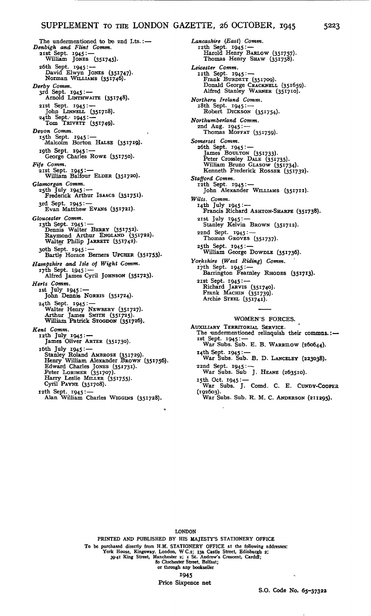### SUPPLEMENT TO THE LONDON GAZETTE, 26 OCTOBER, 1945 5223

The undermentioned to be and Lts.: $-$ *Denbigh and Flint Comm.* 2ist Sept. 1945: — William JONES (351745). 26th Sept. 1945: — David Elwyn JONES (351747). Norman WILLIAMS (351746). *Derby Comm.* 3rd Sept. 1945: — Arnold LINTHWAITE (351748). zist Sept. 1945: — John LINNELL (351718). 24th Sept.- 1945: — Tom TRIVETT (351749). *Devon Comm.* i5th Sept. 1945: — Malcolm Borton HALSE (351719). igth Sept. 1945: — George Charles ROWE (351750). *Fife Comm.* 21st Sept. 1945<sup>:</sup> —<br>William Balfour ELDER (351720). *Glamorgan Comm.* 25th July 1945= — Frederick Arthur ISAACS (35I75\*)- 3rd Sept. 1945: --<br>Evan Matthew Evans (351721). *Gloucester Comm.* ngth Sept. 1945: —<br>Dennis Walter BERRY (351752).<br>Raymond Arthur ENGLAND (351722).<br>Walter Philip JARRETT (351742). 30th Sept. 1945: — Bartle Horace Berners UPCHER (35\*753)- *Hampshire and Isle of Wight Comm.* i7th Sept. 1945: — Alfred James Cyril JOHNSON (351723)- *Herts Comm.* ist July 1945: — John Dennis NORRIS (351724). 24th Sept. 1945: — Walter Henry NEWBERY (351727). Arthur James SMITH (351725). William Patrick STOGDON (351726). *Kent Comm.*<br>
12th July 1945: —<br>
James Oliver ARTER (351730). i6th July 1945: — Stanley Roland AMBROSE (351729). Henry William Alexander BROWN (351756). Edward Charles JONES (351731). Peter LORIMER (351707). Harry Leslie MILLER (351755). Cyril PAYNE (351708). i2th Sept. 1945:— Alan William Charles WIGGINS (351728).

*Lancashire (East) Comm.* 12th Sept. 1945: — Harold Henry BARLOW (351757). Thomas Henry SHAW (351758). *Leicester Comm.*<br>
IIth Sept. 1945: —<br>
Frank BURDETT (351709).<br>
Donald George CRACKNELL (351659).<br>
Alfred Stanley WARNER (351710). *Northern Ireland Comm.* 18th Sept. 1945: — Robert DICKSON (351754). *Northumberland Comm.* 2nd Aug. 1945: — Thomas MOFFAT (351759). *Somerset Comm.* 26th Sept. 1945: — James BOULTON (351733). Peter Crossley DALE (351735). William Bruno GLASOW (351734). Kenneth Frederick ROSSER (351732). *Stafford Comm.* i2th Sept. 1945: — John Alexander WILLIAMS (351711). *Wilts. Comm.* i4th July 1945: — Francis Richard ASHTON-SHARPE (351738). 2ist July 1945: — Stanley Kelvin BROWN (351712). 22nd Sept.  $1945$ : Thomas GROVES (351737). 25th Sept. 1945: — William George DOWDLE (351736). *Yorkshire (West Riding) Comm.* 17th Sept. 1945: -Barrington Fearnley RHODES (351713). 2ist Sept. 1945 : — Richard JARVIS (351740). Frank MACHIN (351739). Archie STEEL (351741). WOMEN'S FORCES. AUXILIARY TERRITORIAL SERVICE. The undermentioned relinquish their commns.: --<br>
1st Sept. 1945: --<br>
War Subs. Sub. E. B. WARRILOW (260644).

- i4th Sept. 1945: War Subs. Sub. B. D. LANCELEY (223038).
- 22nd Sept. 1945: War Subs. Sub J. HEANE (263510).
- 15th Oct. 1945: —<br>- War Subs. J. Comd. C. E. Cun<mark>dy-Cooper</mark><br>(192603). War Subs. Sub. R. M, C. ANDERSON (211295).

LONDON

PRINTED AND PUBLISHED BY HIS MAJESTY'S STATIONERY OFFICE To be purchased directly from H.M. STATIONERY OFFICE at the following addresses: York House, Kingsway. London, W C.2; 13a Castle Street, Edinburgh 2;<br>39-41 King Street, Manchester 2; 1 St. Andrew's Crescent, Cardiff;<br>80 Chichester Street, Belfast; or through any bookseller 1945

Price Sixpence net